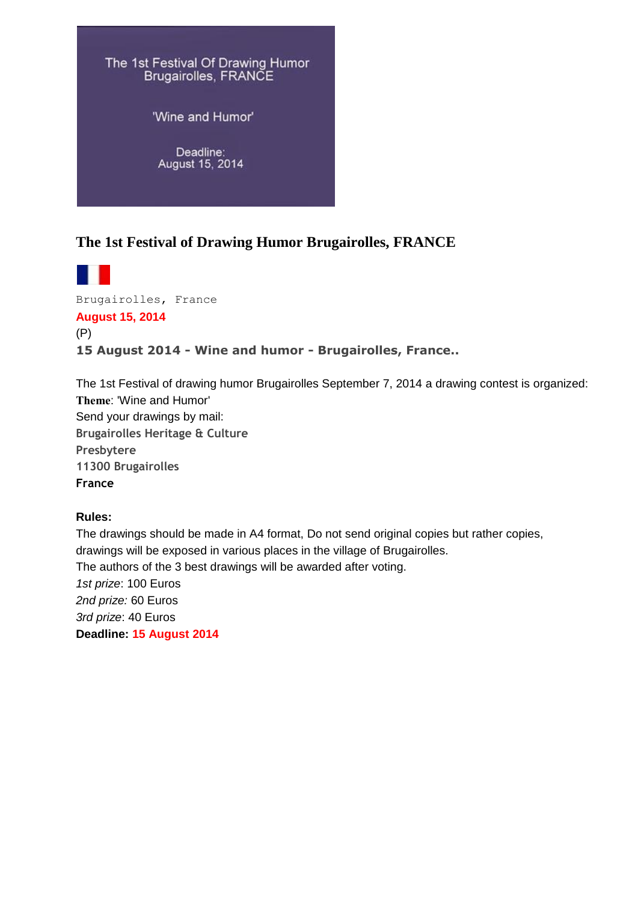

## **The 1st Festival of Drawing Humor Brugairolles, FRANCE**

Brugairolles, France **August 15, 2014** (P) **15 August 2014 - Wine and humor - Brugairolles, France..**

The 1st Festival of drawing humor Brugairolles September 7, 2014 a drawing contest is organized: **Theme**: 'Wine and Humor' Send your drawings by mail: **Brugairolles Heritage & Culture Presbytere 11300 Brugairolles France**

## **Rules:**

The drawings should be made in A4 format, Do not send original copies but rather copies, drawings will be exposed in various places in the village of Brugairolles. The authors of the 3 best drawings will be awarded after voting. *1st prize*: 100 Euros *2nd prize:* 60 Euros *3rd prize*: 40 Euros **Deadline: 15 August 2014**